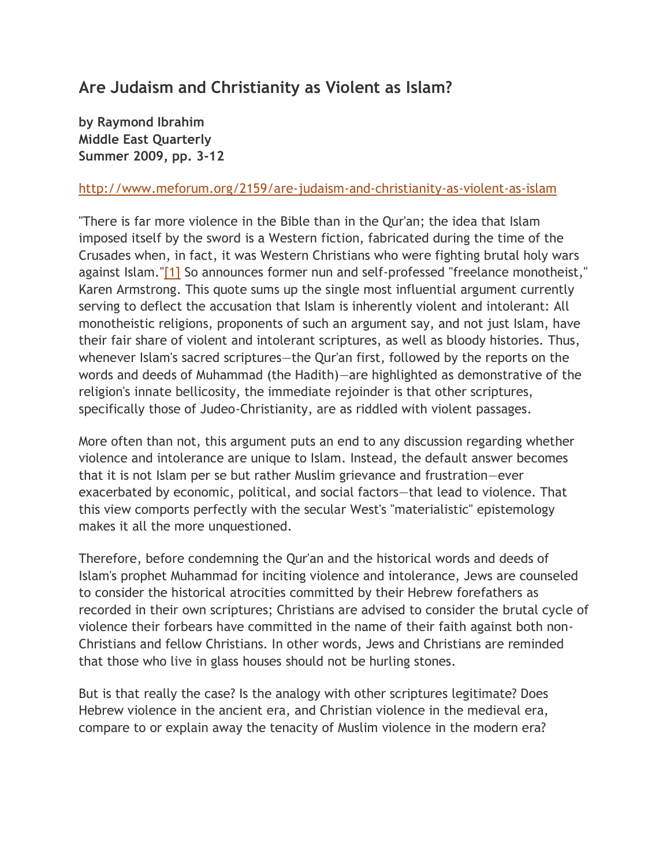# **[Are Judaism and Christianity as Violent as Islam?](http://persecutedchurch.blogspot.com/2009/11/are-judaism-and-christianity-as-violent.html)**

**by Raymond Ibrahim Middle East Quarterly Summer 2009, pp. 3-12**

### <http://www.meforum.org/2159/are-judaism-and-christianity-as-violent-as-islam>

"There is far more violence in the Bible than in the Qur'an; the idea that Islam imposed itself by the sword is a Western fiction, fabricated during the time of the Crusades when, in fact, it was Western Christians who were fighting brutal holy wars against Islam."<sup>[1]</sup> So announces former nun and self-professed "freelance monotheist," Karen Armstrong. This quote sums up the single most influential argument currently serving to deflect the accusation that Islam is inherently violent and intolerant: All monotheistic religions, proponents of such an argument say, and not just Islam, have their fair share of violent and intolerant scriptures, as well as bloody histories. Thus, whenever Islam's sacred scriptures—the Qur'an first, followed by the reports on the words and deeds of Muhammad (the Hadith)—are highlighted as demonstrative of the religion's innate bellicosity, the immediate rejoinder is that other scriptures, specifically those of Judeo-Christianity, are as riddled with violent passages.

More often than not, this argument puts an end to any discussion regarding whether violence and intolerance are unique to Islam. Instead, the default answer becomes that it is not Islam per se but rather Muslim grievance and frustration—ever exacerbated by economic, political, and social factors—that lead to violence. That this view comports perfectly with the secular West's "materialistic" epistemology makes it all the more unquestioned.

Therefore, before condemning the Qur'an and the historical words and deeds of Islam's prophet Muhammad for inciting violence and intolerance, Jews are counseled to consider the historical atrocities committed by their Hebrew forefathers as recorded in their own scriptures; Christians are advised to consider the brutal cycle of violence their forbears have committed in the name of their faith against both non-Christians and fellow Christians. In other words, Jews and Christians are reminded that those who live in glass houses should not be hurling stones.

But is that really the case? Is the analogy with other scriptures legitimate? Does Hebrew violence in the ancient era, and Christian violence in the medieval era, compare to or explain away the tenacity of Muslim violence in the modern era?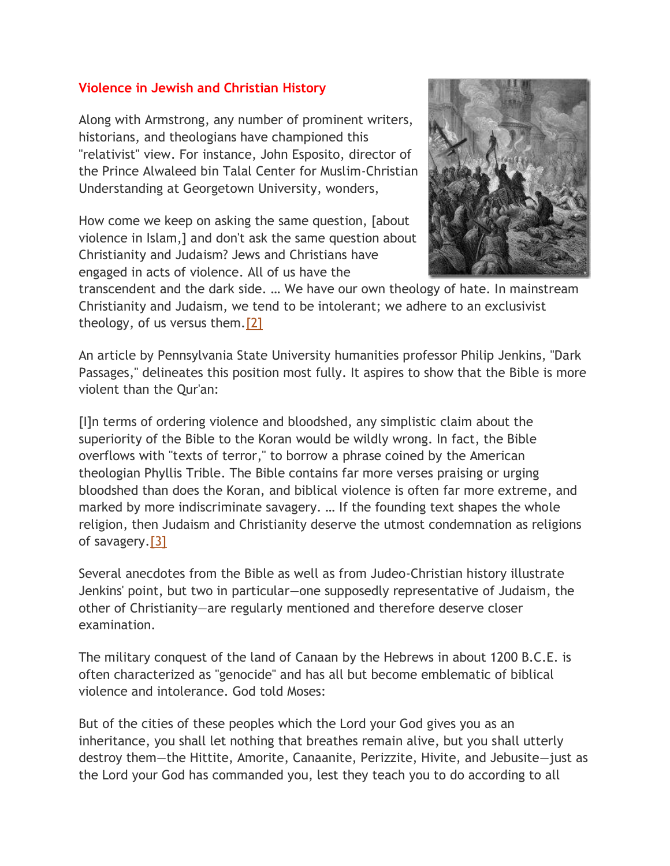### **Violence in Jewish and Christian History**

Along with Armstrong, any number of prominent writers, historians, and theologians have championed this "relativist" view. For instance, John Esposito, director of the Prince Alwaleed bin Talal Center for Muslim-Christian Understanding at Georgetown University, wonders,

How come we keep on asking the same question, [about violence in Islam,] and don't ask the same question about Christianity and Judaism? Jews and Christians have engaged in acts of violence. All of us have the



transcendent and the dark side. … We have our own theology of hate. In mainstream Christianity and Judaism, we tend to be intolerant; we adhere to an exclusivist theology, of us versus them[.\[2\]](http://www.meforum.org/#_ftn2_4817)

An article by Pennsylvania State University humanities professor Philip Jenkins, "Dark Passages," delineates this position most fully. It aspires to show that the Bible is more violent than the Qur'an:

[I]n terms of ordering violence and bloodshed, any simplistic claim about the superiority of the Bible to the Koran would be wildly wrong. In fact, the Bible overflows with "texts of terror," to borrow a phrase coined by the American theologian Phyllis Trible. The Bible contains far more verses praising or urging bloodshed than does the Koran, and biblical violence is often far more extreme, and marked by more indiscriminate savagery. … If the founding text shapes the whole religion, then Judaism and Christianity deserve the utmost condemnation as religions of savagery[.\[3\]](http://www.meforum.org/#_ftn3_4817)

Several anecdotes from the Bible as well as from Judeo-Christian history illustrate Jenkins' point, but two in particular—one supposedly representative of Judaism, the other of Christianity—are regularly mentioned and therefore deserve closer examination.

The military conquest of the land of Canaan by the Hebrews in about 1200 B.C.E. is often characterized as "genocide" and has all but become emblematic of biblical violence and intolerance. God told Moses:

But of the cities of these peoples which the Lord your God gives you as an inheritance, you shall let nothing that breathes remain alive, but you shall utterly destroy them—the Hittite, Amorite, Canaanite, Perizzite, Hivite, and Jebusite—just as the Lord your God has commanded you, lest they teach you to do according to all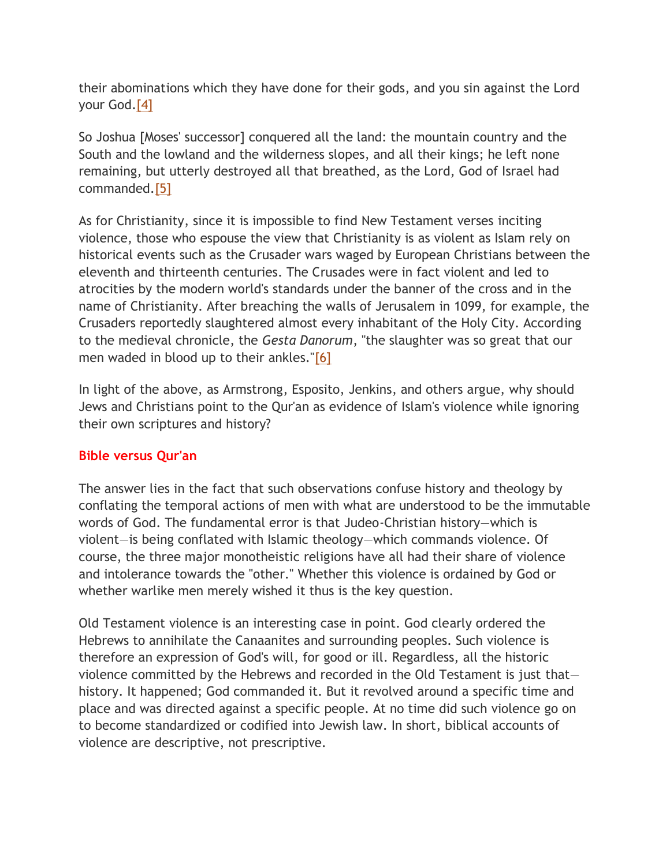their abominations which they have done for their gods, and you sin against the Lord your God[.\[4\]](http://www.meforum.org/#_ftn4_4817)

So Joshua [Moses' successor] conquered all the land: the mountain country and the South and the lowland and the wilderness slopes, and all their kings; he left none remaining, but utterly destroyed all that breathed, as the Lord, God of Israel had commanded[.\[5\]](http://www.meforum.org/#_ftn5_4817)

As for Christianity, since it is impossible to find New Testament verses inciting violence, those who espouse the view that Christianity is as violent as Islam rely on historical events such as the Crusader wars waged by European Christians between the eleventh and thirteenth centuries. The Crusades were in fact violent and led to atrocities by the modern world's standards under the banner of the cross and in the name of Christianity. After breaching the walls of Jerusalem in 1099, for example, the Crusaders reportedly slaughtered almost every inhabitant of the Holy City. According to the medieval chronicle, the *Gesta Danorum*, "the slaughter was so great that our men waded in blood up to their ankles.["\[6\]](http://www.meforum.org/#_ftn6_4817)

In light of the above, as Armstrong, Esposito, Jenkins, and others argue, why should Jews and Christians point to the Qur'an as evidence of Islam's violence while ignoring their own scriptures and history?

# **Bible versus Qur'an**

The answer lies in the fact that such observations confuse history and theology by conflating the temporal actions of men with what are understood to be the immutable words of God. The fundamental error is that Judeo-Christian history—which is violent—is being conflated with Islamic theology—which commands violence. Of course, the three major monotheistic religions have all had their share of violence and intolerance towards the "other." Whether this violence is ordained by God or whether warlike men merely wished it thus is the key question.

Old Testament violence is an interesting case in point. God clearly ordered the Hebrews to annihilate the Canaanites and surrounding peoples. Such violence is therefore an expression of God's will, for good or ill. Regardless, all the historic violence committed by the Hebrews and recorded in the Old Testament is just that history. It happened; God commanded it. But it revolved around a specific time and place and was directed against a specific people. At no time did such violence go on to become standardized or codified into Jewish law. In short, biblical accounts of violence are descriptive, not prescriptive.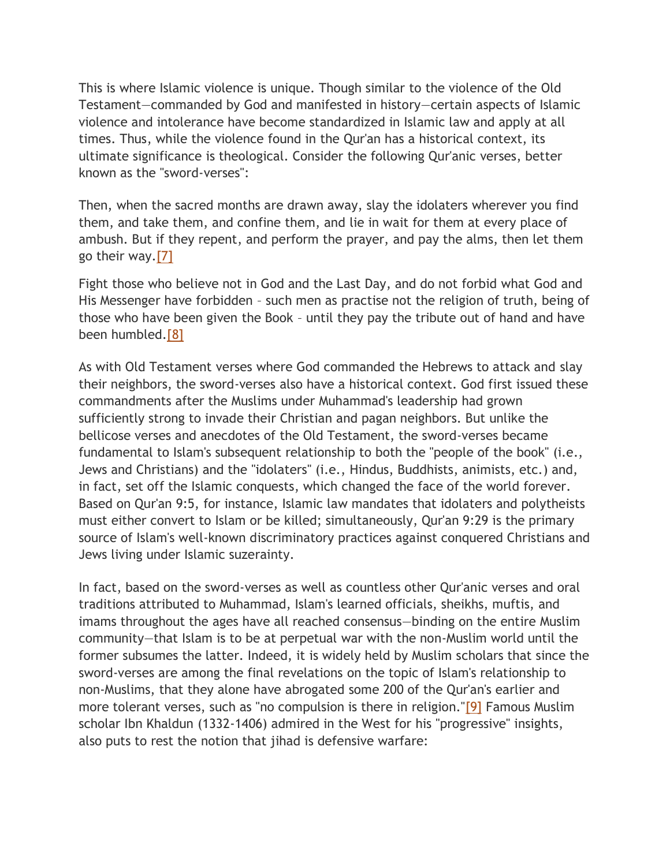This is where Islamic violence is unique. Though similar to the violence of the Old Testament—commanded by God and manifested in history—certain aspects of Islamic violence and intolerance have become standardized in Islamic law and apply at all times. Thus, while the violence found in the Qur'an has a historical context, its ultimate significance is theological. Consider the following Qur'anic verses, better known as the "sword-verses":

Then, when the sacred months are drawn away, slay the idolaters wherever you find them, and take them, and confine them, and lie in wait for them at every place of ambush. But if they repent, and perform the prayer, and pay the alms, then let them go their way[.\[7\]](http://www.meforum.org/#_ftn7_4817)

Fight those who believe not in God and the Last Day, and do not forbid what God and His Messenger have forbidden – such men as practise not the religion of truth, being of those who have been given the Book – until they pay the tribute out of hand and have been humbled[.\[8\]](http://www.meforum.org/#_ftn8_4817)

As with Old Testament verses where God commanded the Hebrews to attack and slay their neighbors, the sword-verses also have a historical context. God first issued these commandments after the Muslims under Muhammad's leadership had grown sufficiently strong to invade their Christian and pagan neighbors. But unlike the bellicose verses and anecdotes of the Old Testament, the sword-verses became fundamental to Islam's subsequent relationship to both the "people of the book" (i.e., Jews and Christians) and the "idolaters" (i.e., Hindus, Buddhists, animists, etc.) and, in fact, set off the Islamic conquests, which changed the face of the world forever. Based on Qur'an 9:5, for instance, Islamic law mandates that idolaters and polytheists must either convert to Islam or be killed; simultaneously, Qur'an 9:29 is the primary source of Islam's well-known discriminatory practices against conquered Christians and Jews living under Islamic suzerainty.

In fact, based on the sword-verses as well as countless other Qur'anic verses and oral traditions attributed to Muhammad, Islam's learned officials, sheikhs, muftis, and imams throughout the ages have all reached consensus—binding on the entire Muslim community—that Islam is to be at perpetual war with the non-Muslim world until the former subsumes the latter. Indeed, it is widely held by Muslim scholars that since the sword-verses are among the final revelations on the topic of Islam's relationship to non-Muslims, that they alone have abrogated some 200 of the Qur'an's earlier and more tolerant verses, such as "no compulsion is there in religion."<sup>[9]</sup> Famous Muslim scholar Ibn Khaldun (1332-1406) admired in the West for his "progressive" insights, also puts to rest the notion that jihad is defensive warfare: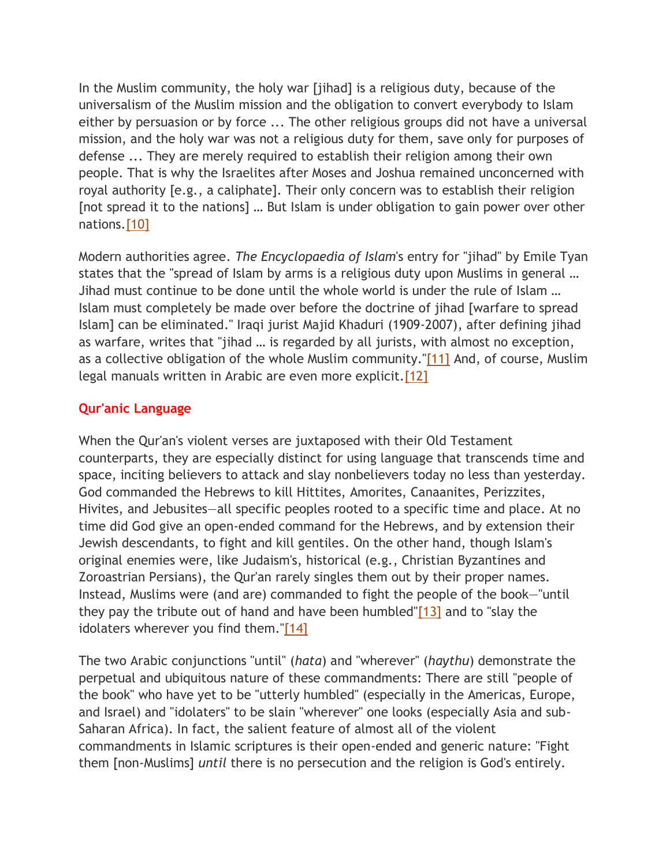In the Muslim community, the holy war [jihad] is a religious duty, because of the universalism of the Muslim mission and the obligation to convert everybody to Islam either by persuasion or by force ... The other religious groups did not have a universal mission, and the holy war was not a religious duty for them, save only for purposes of defense ... They are merely required to establish their religion among their own people. That is why the Israelites after Moses and Joshua remained unconcerned with royal authority [e.g., a caliphate]. Their only concern was to establish their religion [not spread it to the nations] ... But Islam is under obligation to gain power over other nations[.\[10\]](http://www.meforum.org/#_ftn10_4817)

Modern authorities agree. *The Encyclopaedia of Islam*'s entry for "jihad" by Emile Tyan states that the "spread of Islam by arms is a religious duty upon Muslims in general … Jihad must continue to be done until the whole world is under the rule of Islam … Islam must completely be made over before the doctrine of jihad [warfare to spread Islam] can be eliminated." Iraqi jurist Majid Khaduri (1909-2007), after defining jihad as warfare, writes that "jihad … is regarded by all jurists, with almost no exception, as a collective obligation of the whole Muslim community.["\[11\]](http://www.meforum.org/#_ftn11_4817) And, of course, Muslim legal manuals written in Arabic are even more explicit.<sup>[12]</sup>

# **Qur'anic Language**

When the Qur'an's violent verses are juxtaposed with their Old Testament counterparts, they are especially distinct for using language that transcends time and space, inciting believers to attack and slay nonbelievers today no less than yesterday. God commanded the Hebrews to kill Hittites, Amorites, Canaanites, Perizzites, Hivites, and Jebusites—all specific peoples rooted to a specific time and place. At no time did God give an open-ended command for the Hebrews, and by extension their Jewish descendants, to fight and kill gentiles. On the other hand, though Islam's original enemies were, like Judaism's, historical (e.g., Christian Byzantines and Zoroastrian Persians), the Qur'an rarely singles them out by their proper names. Instead, Muslims were (and are) commanded to fight the people of the book—"until they pay the tribute out of hand and have been humbled["\[13\]](http://www.meforum.org/#_ftn13_4817) and to "slay the idolaters wherever you find them.["\[14\]](http://www.meforum.org/#_ftn14_4817)

The two Arabic conjunctions "until" (*hata*) and "wherever" (*haythu*) demonstrate the perpetual and ubiquitous nature of these commandments: There are still "people of the book" who have yet to be "utterly humbled" (especially in the Americas, Europe, and Israel) and "idolaters" to be slain "wherever" one looks (especially Asia and sub-Saharan Africa). In fact, the salient feature of almost all of the violent commandments in Islamic scriptures is their open-ended and generic nature: "Fight them [non-Muslims] *until* there is no persecution and the religion is God's entirely.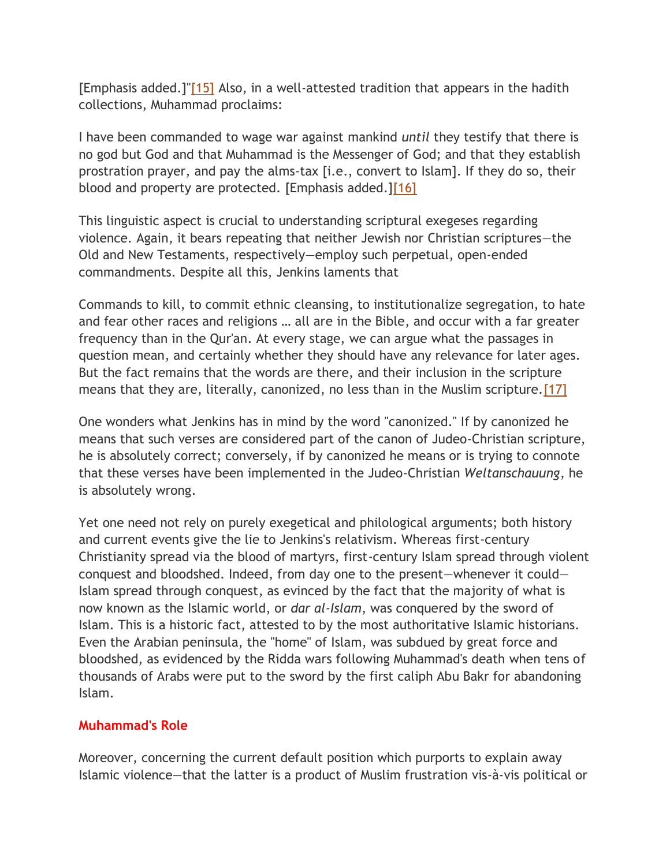[Emphasis added.]["\[15\]](http://www.meforum.org/#_ftn15_4817) Also, in a well-attested tradition that appears in the hadith collections, Muhammad proclaims:

I have been commanded to wage war against mankind *until* they testify that there is no god but God and that Muhammad is the Messenger of God; and that they establish prostration prayer, and pay the alms-tax [i.e., convert to Islam]. If they do so, their blood and property are protected. [Emphasis added.[\]\[16\]](http://www.meforum.org/#_ftn16_4817)

This linguistic aspect is crucial to understanding scriptural exegeses regarding violence. Again, it bears repeating that neither Jewish nor Christian scriptures—the Old and New Testaments, respectively—employ such perpetual, open-ended commandments. Despite all this, Jenkins laments that

Commands to kill, to commit ethnic cleansing, to institutionalize segregation, to hate and fear other races and religions … all are in the Bible, and occur with a far greater frequency than in the Qur'an. At every stage, we can argue what the passages in question mean, and certainly whether they should have any relevance for later ages. But the fact remains that the words are there, and their inclusion in the scripture means that they are, literally, canonized, no less than in the Muslim scripture.<sup>[17]</sup>

One wonders what Jenkins has in mind by the word "canonized." If by canonized he means that such verses are considered part of the canon of Judeo-Christian scripture, he is absolutely correct; conversely, if by canonized he means or is trying to connote that these verses have been implemented in the Judeo-Christian *Weltanschauung*, he is absolutely wrong.

Yet one need not rely on purely exegetical and philological arguments; both history and current events give the lie to Jenkins's relativism. Whereas first-century Christianity spread via the blood of martyrs, first-century Islam spread through violent conquest and bloodshed. Indeed, from day one to the present—whenever it could— Islam spread through conquest, as evinced by the fact that the majority of what is now known as the Islamic world, or *dar al-Islam*, was conquered by the sword of Islam. This is a historic fact, attested to by the most authoritative Islamic historians. Even the Arabian peninsula, the "home" of Islam, was subdued by great force and bloodshed, as evidenced by the Ridda wars following Muhammad's death when tens of thousands of Arabs were put to the sword by the first caliph Abu Bakr for abandoning Islam.

#### **Muhammad's Role**

Moreover, concerning the current default position which purports to explain away Islamic violence—that the latter is a product of Muslim frustration vis-à-vis political or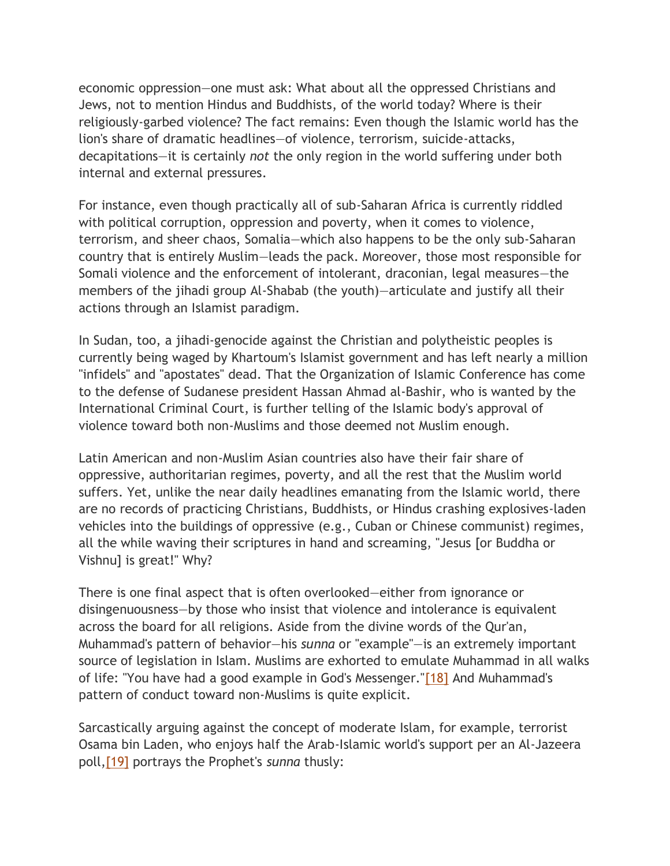economic oppression—one must ask: What about all the oppressed Christians and Jews, not to mention Hindus and Buddhists, of the world today? Where is their religiously-garbed violence? The fact remains: Even though the Islamic world has the lion's share of dramatic headlines—of violence, terrorism, suicide-attacks, decapitations—it is certainly *not* the only region in the world suffering under both internal and external pressures.

For instance, even though practically all of sub-Saharan Africa is currently riddled with political corruption, oppression and poverty, when it comes to violence, terrorism, and sheer chaos, Somalia—which also happens to be the only sub-Saharan country that is entirely Muslim—leads the pack. Moreover, those most responsible for Somali violence and the enforcement of intolerant, draconian, legal measures—the members of the jihadi group Al-Shabab (the youth)—articulate and justify all their actions through an Islamist paradigm.

In Sudan, too, a jihadi-genocide against the Christian and polytheistic peoples is currently being waged by Khartoum's Islamist government and has left nearly a million "infidels" and "apostates" dead. That the Organization of Islamic Conference has come to the defense of Sudanese president Hassan Ahmad al-Bashir, who is wanted by the International Criminal Court, is further telling of the Islamic body's approval of violence toward both non-Muslims and those deemed not Muslim enough.

Latin American and non-Muslim Asian countries also have their fair share of oppressive, authoritarian regimes, poverty, and all the rest that the Muslim world suffers. Yet, unlike the near daily headlines emanating from the Islamic world, there are no records of practicing Christians, Buddhists, or Hindus crashing explosives-laden vehicles into the buildings of oppressive (e.g., Cuban or Chinese communist) regimes, all the while waving their scriptures in hand and screaming, "Jesus [or Buddha or Vishnu] is great!" Why?

There is one final aspect that is often overlooked—either from ignorance or disingenuousness—by those who insist that violence and intolerance is equivalent across the board for all religions. Aside from the divine words of the Qur'an, Muhammad's pattern of behavior—his *sunna* or "example"—is an extremely important source of legislation in Islam. Muslims are exhorted to emulate Muhammad in all walks of life: "You have had a good example in God's Messenger.["\[18\]](http://www.meforum.org/#_ftn18_4817) And Muhammad's pattern of conduct toward non-Muslims is quite explicit.

Sarcastically arguing against the concept of moderate Islam, for example, terrorist Osama bin Laden, who enjoys half the Arab-Islamic world's support per an Al-Jazeera poll[,\[19\]](http://www.meforum.org/#_ftn19_4817) portrays the Prophet's *sunna* thusly: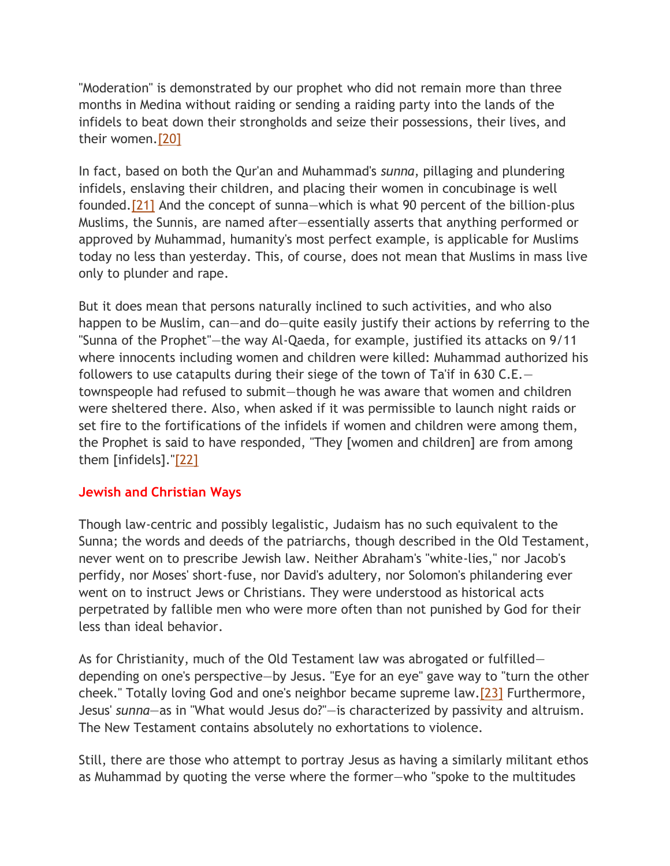"Moderation" is demonstrated by our prophet who did not remain more than three months in Medina without raiding or sending a raiding party into the lands of the infidels to beat down their strongholds and seize their possessions, their lives, and their women[.\[20\]](http://www.meforum.org/#_ftn20_4817)

In fact, based on both the Qur'an and Muhammad's *sunna*, pillaging and plundering infidels, enslaving their children, and placing their women in concubinage is well founded[.\[21\]](http://www.meforum.org/#_ftn21_4817) And the concept of sunna—which is what 90 percent of the billion-plus Muslims, the Sunnis, are named after—essentially asserts that anything performed or approved by Muhammad, humanity's most perfect example, is applicable for Muslims today no less than yesterday. This, of course, does not mean that Muslims in mass live only to plunder and rape.

But it does mean that persons naturally inclined to such activities, and who also happen to be Muslim, can—and do—quite easily justify their actions by referring to the "Sunna of the Prophet"—the way Al-Qaeda, for example, justified its attacks on 9/11 where innocents including women and children were killed: Muhammad authorized his followers to use catapults during their siege of the town of Ta'if in 630 C.E. townspeople had refused to submit—though he was aware that women and children were sheltered there. Also, when asked if it was permissible to launch night raids or set fire to the fortifications of the infidels if women and children were among them, the Prophet is said to have responded, "They [women and children] are from among them [infidels].["\[22\]](http://www.meforum.org/#_ftn22_4817)

# **Jewish and Christian Ways**

Though law-centric and possibly legalistic, Judaism has no such equivalent to the Sunna; the words and deeds of the patriarchs, though described in the Old Testament, never went on to prescribe Jewish law. Neither Abraham's "white-lies," nor Jacob's perfidy, nor Moses' short-fuse, nor David's adultery, nor Solomon's philandering ever went on to instruct Jews or Christians. They were understood as historical acts perpetrated by fallible men who were more often than not punished by God for their less than ideal behavior.

As for Christianity, much of the Old Testament law was abrogated or fulfilled depending on one's perspective—by Jesus. "Eye for an eye" gave way to "turn the other cheek." Totally loving God and one's neighbor became supreme law[.\[23\]](http://www.meforum.org/#_ftn23_4817) Furthermore, Jesus' *sunna*—as in "What would Jesus do?"—is characterized by passivity and altruism. The New Testament contains absolutely no exhortations to violence.

Still, there are those who attempt to portray Jesus as having a similarly militant ethos as Muhammad by quoting the verse where the former—who "spoke to the multitudes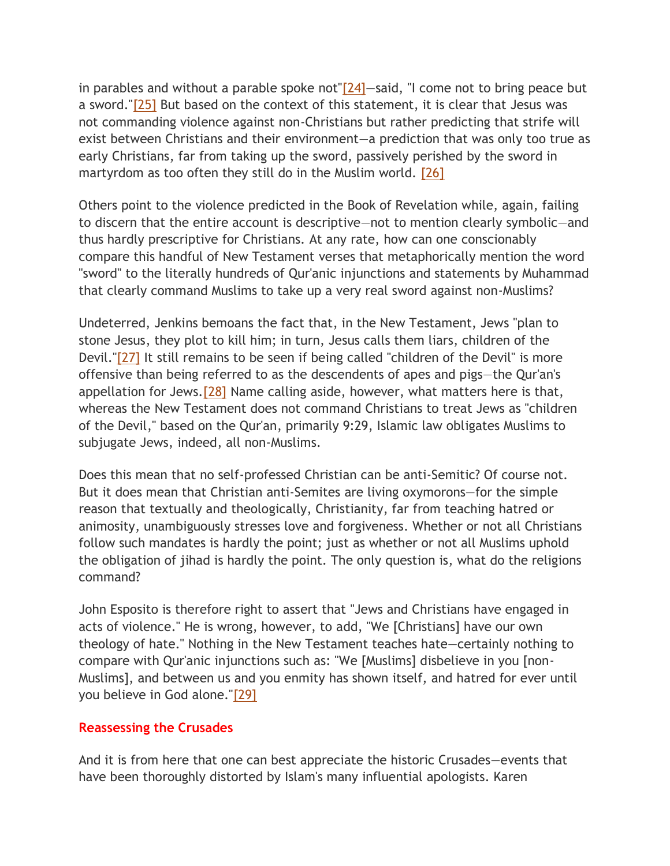in parables and without a parable spoke not" $[24]$  -said, "I come not to bring peace but a sword.["\[25\]](http://www.meforum.org/#_ftn25_4817) But based on the context of this statement, it is clear that Jesus was not commanding violence against non-Christians but rather predicting that strife will exist between Christians and their environment—a prediction that was only too true as early Christians, far from taking up the sword, passively perished by the sword in martyrdom as too often they still do in the Muslim world.  $[26]$ 

Others point to the violence predicted in the Book of Revelation while, again, failing to discern that the entire account is descriptive—not to mention clearly symbolic—and thus hardly prescriptive for Christians. At any rate, how can one conscionably compare this handful of New Testament verses that metaphorically mention the word "sword" to the literally hundreds of Qur'anic injunctions and statements by Muhammad that clearly command Muslims to take up a very real sword against non-Muslims?

Undeterred, Jenkins bemoans the fact that, in the New Testament, Jews "plan to stone Jesus, they plot to kill him; in turn, Jesus calls them liars, children of the Devil.["\[27\]](http://www.meforum.org/#_ftn27_4817) It still remains to be seen if being called "children of the Devil" is more offensive than being referred to as the descendents of apes and pigs—the Qur'an's appellation for Jews.  $[28]$  Name calling aside, however, what matters here is that, whereas the New Testament does not command Christians to treat Jews as "children of the Devil," based on the Qur'an, primarily 9:29, Islamic law obligates Muslims to subjugate Jews, indeed, all non-Muslims.

Does this mean that no self-professed Christian can be anti-Semitic? Of course not. But it does mean that Christian anti-Semites are living oxymorons—for the simple reason that textually and theologically, Christianity, far from teaching hatred or animosity, unambiguously stresses love and forgiveness. Whether or not all Christians follow such mandates is hardly the point; just as whether or not all Muslims uphold the obligation of jihad is hardly the point. The only question is, what do the religions command?

John Esposito is therefore right to assert that "Jews and Christians have engaged in acts of violence." He is wrong, however, to add, "We [Christians] have our own theology of hate." Nothing in the New Testament teaches hate—certainly nothing to compare with Qur'anic injunctions such as: "We [Muslims] disbelieve in you [non-Muslims], and between us and you enmity has shown itself, and hatred for ever until you believe in God alone.["\[29\]](http://www.meforum.org/#_ftn29_4817)

#### **Reassessing the Crusades**

And it is from here that one can best appreciate the historic Crusades—events that have been thoroughly distorted by Islam's many influential apologists. Karen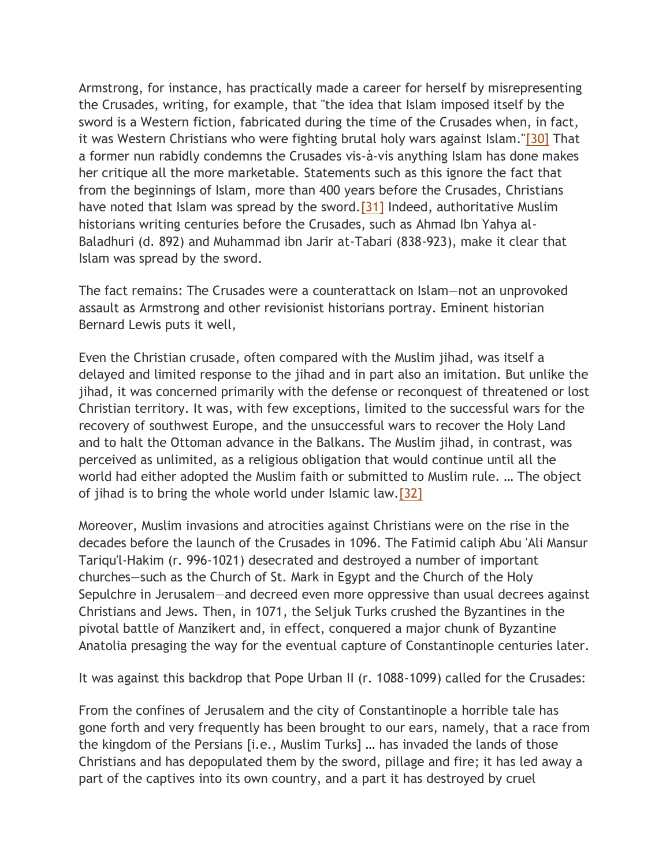Armstrong, for instance, has practically made a career for herself by misrepresenting the Crusades, writing, for example, that "the idea that Islam imposed itself by the sword is a Western fiction, fabricated during the time of the Crusades when, in fact, it was Western Christians who were fighting brutal holy wars against Islam.["\[30\]](http://www.meforum.org/#_ftn30_4817) That a former nun rabidly condemns the Crusades vis-à-vis anything Islam has done makes her critique all the more marketable. Statements such as this ignore the fact that from the beginnings of Islam, more than 400 years before the Crusades, Christians have noted that Islam was spread by the sword.<sup>[31]</sup> Indeed, authoritative Muslim historians writing centuries before the Crusades, such as Ahmad Ibn Yahya al-Baladhuri (d. 892) and Muhammad ibn Jarir at-Tabari (838-923), make it clear that Islam was spread by the sword.

The fact remains: The Crusades were a counterattack on Islam—not an unprovoked assault as Armstrong and other revisionist historians portray. Eminent historian Bernard Lewis puts it well,

Even the Christian crusade, often compared with the Muslim jihad, was itself a delayed and limited response to the jihad and in part also an imitation. But unlike the jihad, it was concerned primarily with the defense or reconquest of threatened or lost Christian territory. It was, with few exceptions, limited to the successful wars for the recovery of southwest Europe, and the unsuccessful wars to recover the Holy Land and to halt the Ottoman advance in the Balkans. The Muslim jihad, in contrast, was perceived as unlimited, as a religious obligation that would continue until all the world had either adopted the Muslim faith or submitted to Muslim rule. … The object of jihad is to bring the whole world under Islamic law[.\[32\]](http://www.meforum.org/#_ftn32_4817)

Moreover, Muslim invasions and atrocities against Christians were on the rise in the decades before the launch of the Crusades in 1096. The Fatimid caliph Abu 'Ali Mansur Tariqu'l-Hakim (r. 996-1021) desecrated and destroyed a number of important churches—such as the Church of St. Mark in Egypt and the Church of the Holy Sepulchre in Jerusalem—and decreed even more oppressive than usual decrees against Christians and Jews. Then, in 1071, the Seljuk Turks crushed the Byzantines in the pivotal battle of Manzikert and, in effect, conquered a major chunk of Byzantine Anatolia presaging the way for the eventual capture of Constantinople centuries later.

It was against this backdrop that Pope Urban II (r. 1088-1099) called for the Crusades:

From the confines of Jerusalem and the city of Constantinople a horrible tale has gone forth and very frequently has been brought to our ears, namely, that a race from the kingdom of the Persians [i.e., Muslim Turks] … has invaded the lands of those Christians and has depopulated them by the sword, pillage and fire; it has led away a part of the captives into its own country, and a part it has destroyed by cruel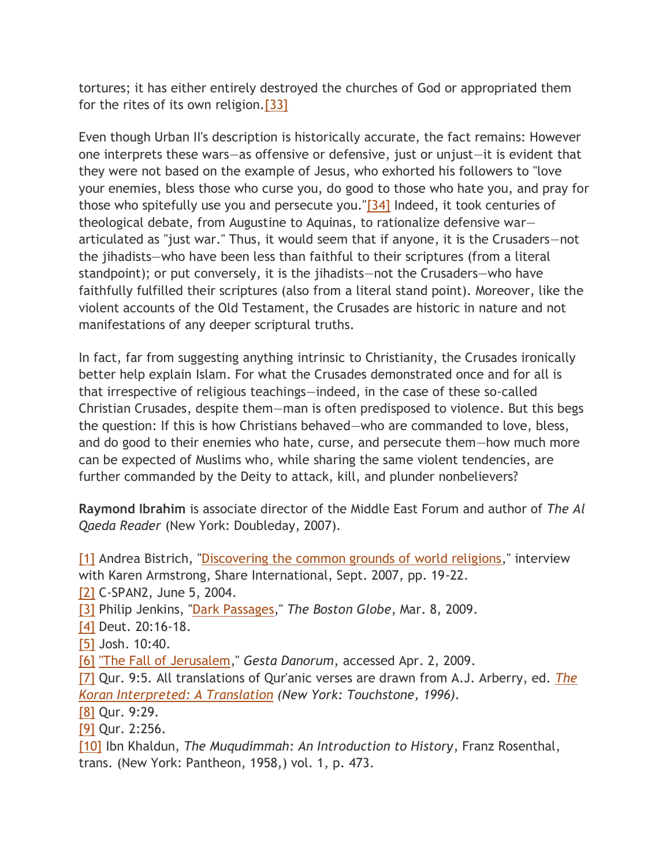tortures; it has either entirely destroyed the churches of God or appropriated them for the rites of its own religion.  $[33]$ 

Even though Urban II's description is historically accurate, the fact remains: However one interprets these wars—as offensive or defensive, just or unjust—it is evident that they were not based on the example of Jesus, who exhorted his followers to "love your enemies, bless those who curse you, do good to those who hate you, and pray for those who spitefully use you and persecute you.["\[34\]](http://www.meforum.org/#_ftn34_4817) Indeed, it took centuries of theological debate, from Augustine to Aquinas, to rationalize defensive war articulated as "just war." Thus, it would seem that if anyone, it is the Crusaders—not the jihadists—who have been less than faithful to their scriptures (from a literal standpoint); or put conversely, it is the jihadists—not the Crusaders—who have faithfully fulfilled their scriptures (also from a literal stand point). Moreover, like the violent accounts of the Old Testament, the Crusades are historic in nature and not manifestations of any deeper scriptural truths.

In fact, far from suggesting anything intrinsic to Christianity, the Crusades ironically better help explain Islam. For what the Crusades demonstrated once and for all is that irrespective of religious teachings—indeed, in the case of these so-called Christian Crusades, despite them—man is often predisposed to violence. But this begs the question: If this is how Christians behaved—who are commanded to love, bless, and do good to their enemies who hate, curse, and persecute them—how much more can be expected of Muslims who, while sharing the same violent tendencies, are further commanded by the Deity to attack, kill, and plunder nonbelievers?

**Raymond Ibrahim** is associate director of the Middle East Forum and author of *The Al Qaeda Reader* (New York: Doubleday, 2007).

[\[1\]](http://www.meforum.org/#_ftnref1_4817) Andrea Bistrich, ["Discovering the common grounds of world religions,](http://www.unaoc.org/repository/armstrong_interview.pdf)" interview with Karen Armstrong, Share International, Sept. 2007, pp. 19-22. [\[2\]](http://www.meforum.org/#_ftnref2_4817) C-SPAN2, June 5, 2004. [\[3\]](http://www.meforum.org/#_ftnref3_4817) Philip Jenkins, ["Dark Passages,](http://www.boston.com/bostonglobe/ideas/articles/2009/03/08/dark_passages/)" *The Boston Globe*, Mar. 8, 2009. [\[4\]](http://www.meforum.org/#_ftnref4_4817) Deut. 20:16-18. [\[5\]](http://www.meforum.org/#_ftnref5_4817) Josh. 10:40. [\[6\]](http://www.meforum.org/#_ftnref6_4817) ["The Fall of Jerusalem,](http://www.fordham.edu/halsall/source/gesta-cde.html#jerusalem3)" *Gesta Danorum*, accessed Apr. 2, 2009. [\[7\]](http://www.meforum.org/#_ftnref7_4817) Qur. 9:5. All translations of Qur'anic verses are drawn from A.J. Arberry, ed. *[The](http://arthursclassicnovels.com/arthurs/koran/koran-arberry10.html)  [Koran Interpreted: A Translation](http://arthursclassicnovels.com/arthurs/koran/koran-arberry10.html) (New York: Touchstone, 1996).*  [\[8\]](http://www.meforum.org/#_ftnref8_4817) Qur. 9:29. [\[9\]](http://www.meforum.org/#_ftnref9_4817) Qur. 2:256. [\[10\]](http://www.meforum.org/#_ftnref10_4817) Ibn Khaldun, *The Muqudimmah: An Introduction to History*, Franz Rosenthal, trans. (New York: Pantheon, 1958,) vol. 1, p. 473.